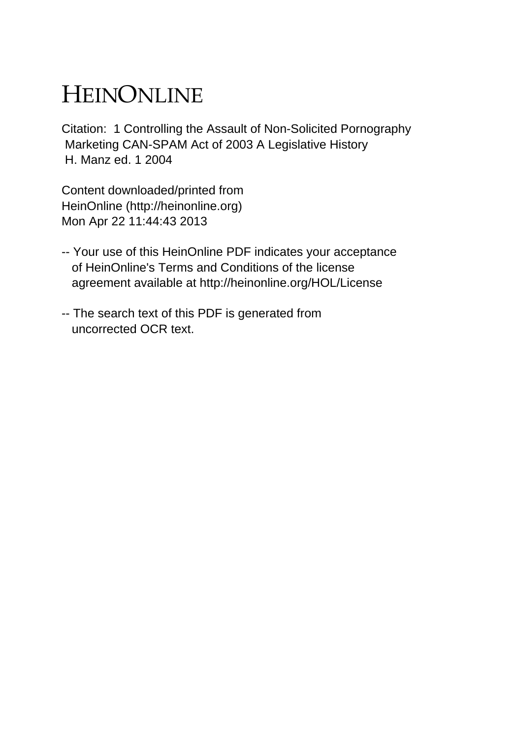# HEINONLINE

Citation: 1 Controlling the Assault of Non-Solicited Pornography Marketing CAN-SPAM Act of 2003 A Legislative History H. Manz ed. 1 2004

Content downloaded/printed from HeinOnline (http://heinonline.org) Mon Apr 22 11:44:43 2013

- -- Your use of this HeinOnline PDF indicates your acceptance of HeinOnline's Terms and Conditions of the license agreement available at http://heinonline.org/HOL/License
- -- The search text of this PDF is generated from uncorrected OCR text.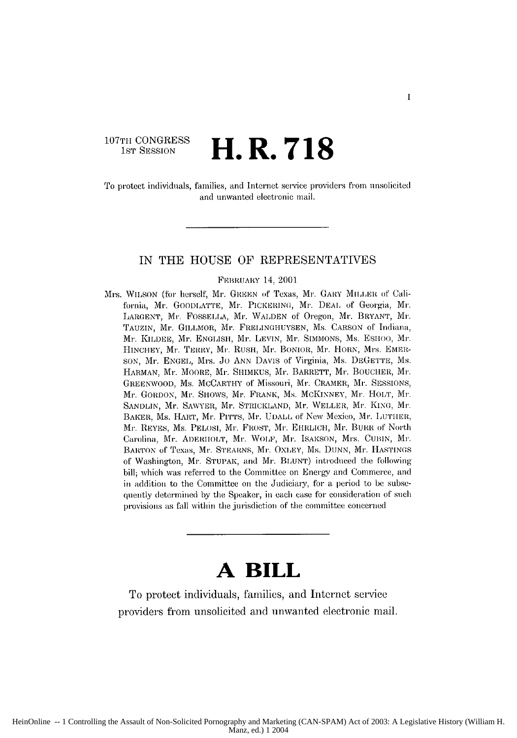## **107TH CONGRESS**<br>**1st Session**

**H.R. 718** 

To protect individuals, families, and Internet service providers from unsolicited and unwanted electronic mail.

#### IN THE **HOUSE** OF REPRESENTATIVES

#### **FiiemwiAlY** *14,* **2001**

**Mrs.** WIlsON **(for** herself, Mr. GIEEN of Texas, Mr. GARY MILLER of Califoinia, Mr. **GOODLATTE,** Mr. **PICKERING,** Mr. DEAL **of** Georgia, **Mr.** LARGENT, Mr. FOSSELLA, Mr. WALDEN of Oregon, Mr. BRYANT, Mr. TAUZIN, Mr. GILLMOR, Mr. FRELINGHUYSEN, Ms. CARSON of Indiana, Mr. KIL)DEE, Mr. ENGLISH, Mr. LEVIN, **Ml'.** SIMMONS, Ms. Esmoo, Mr. IIINCHEY, Mr. TERRY, Mr. RUSH, **Mr.** BONiOR, Mr. HORN, Mrs. EMElR-SON, Mr. ENGEL, Mrs. JO ANN DAVIS of Virginia, Ms. DEGETTE, Ms. HARMAN, Mr. MOORE, Mr. SHIMKUS, Mr. BARRETT, Mr. BOUCHER, Mr. GREENWOOD, Ms. MCCARTHY of Missouri, **Mr.** CRAMER, Mr. SESSIONS, Mr. GORDON, Mr. SHOWS, Mr. FRANK, Ms. MCKINNEY, Mr. HOLT, Mr. SANOLIN, Mr. SAWYER, Mr. STRICKIAND, Mr. WELLER, Mr. KING, Mr. BAKER, Ms. HART, Mr. PITTS, Mr. UDALL of New Mexico, Mr. LUTHER, Mr. REYES, Ms. PELOSI, Mr. FROST, Mr. EHRLICH, Mr. BURR of North Carolina, Mr. ADERHOLT, Mr. WOLF, Mr. ISAKSON, Mrs. CUBIN, Mr. BARTON of Texas, Mr. STEARNS, Mr. OXLEY, Ms. DUNN, Mr. HASTINGS of Washington, Mr. STUPAK, arid Mr. BLUNT) introduced the following bill; which was referred to the Committee on Energy and Commerce, and in addition to the Committee on the Judiciary, for a period to be subsequently determiied by the Speaker, in each case for consideration of such provisions as fall within the jurisdiction of the committee concerned

## **A BILL**

To protect individuals, fanmilies, and Internet service providers from unsolicited and unwanted electronic mail.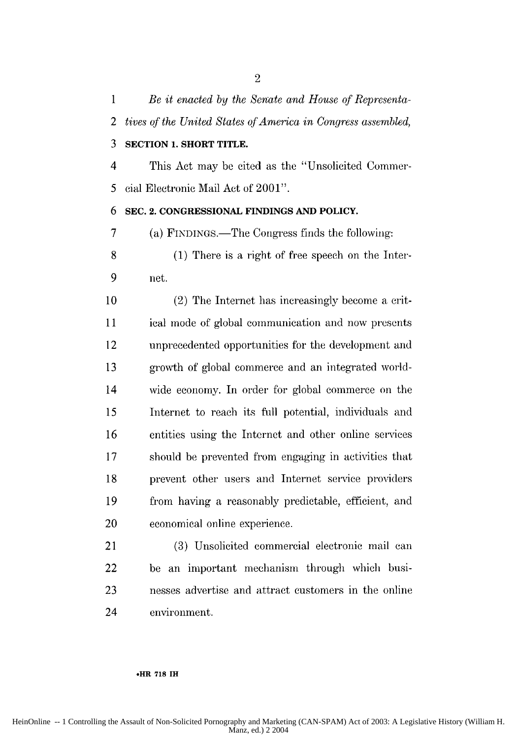2 *tives of the United States of America in Congress assenbled,* **3 SECTION 1. SHORT TITLE.** 4 This Act may be cited as the "Unsolicited Commer-5 cial Electronic Mail Act of 2001". **6 SEC. 2. CONGRESSIONAL FINDINGS AND POLICY. 7 (a) FINDINGS.—The Congress finds the following: 8** (1) There is a right of free speech on the Inter-

**9** net.

10 (2) The Internet has increasingly become a crit-11 ical mode of global communication and now presents 12 unprecedented opportunities for the development and **13** growth of global commerce and an integrated world-14 wide economy. In order for global commerce on the 15 Internet to reach its fuill potential, individuals and 16 entities using the Internet and other online services 17 should be prevented from engaging in activities that 18 prevent other users and Internet service providers 19 from having a reasonably predictable, efficient, and 20 economical online experience.

21 (3) Unsolicited commercial electronic mail can 22 be an important mechanism through which busi-23 nesses advertise and attract customers in the online 24 environment.

#### **-HR 718 IH**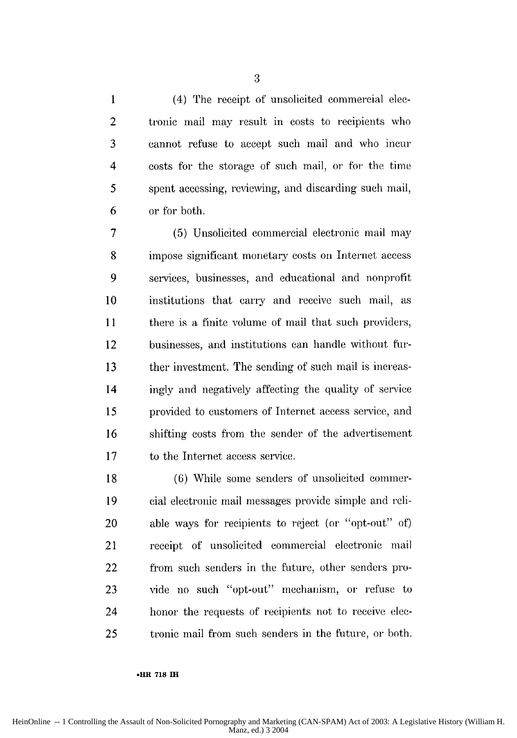1 (4) The receipt of unsolicited commercial elec-2 tronic mail may result in costs to recipients who 3 cannot refuse to accept such mail and who incur 4 costs for the storage of such mail, or for the time 5 spent accessing, reviewing, and discarding such mail, 6 or for both.

7 (5) Unsolicited commercial electronic mail may 8 impose significant monetary costs on Internet access 9 services, businesses, and educational and nonprofit 10 institutions that carry and receive such mail, as 11 there is a finite volume of mail that such providers, 12 businesses, and institutions can handle without fur-13 ther investment. The sending of such mail is increas-14 ingly and negatively affecting the quality of service 15 provided to customers of Internet access service, and 16 shifting costs from the sender of the advertisement 17 to the Internet access service.

18 (6) While some senders of unsolicited commer-19 cial electronic mail messages provide simple and reli-20 able ways for recipients to reject (or "opt-out" of) 21 receipt of unsolicited commercial electronic mail 22 from such senders in the future, other senders pro-23 vide no such "opt-out" mechanism, or refuse to 24 honor the requests of recipients not to receive clec-25 tronic mail from such senders in the future, or both.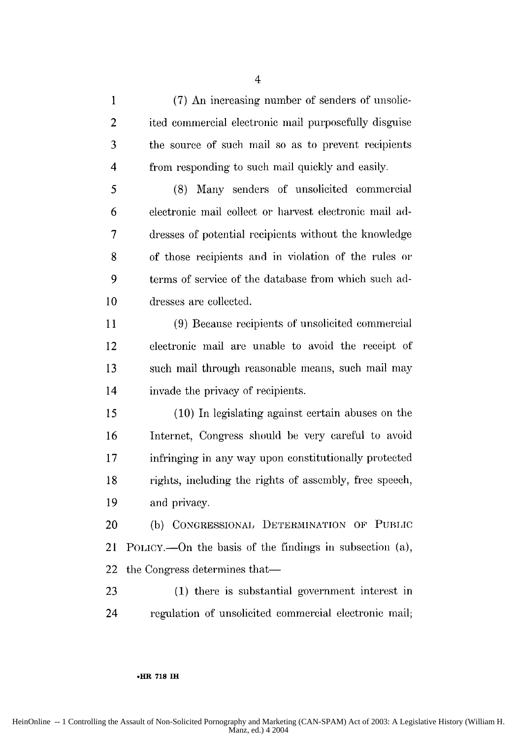1 (7) An increasing number of senders of unsolic-2 ited commercial electronic mail purposefully disguise 3 the source of such mail so as to prevent recipients 4 from responding to such mail quickly and easily.

*5* (8) Many senders of unsolicited commercial 6 electronic mail collect or harvest electronic mail ad-7 dresses of potential recipients without the knowledge 8 of those recipients and in violation of the rules or 9 terms of service of the database from which such ad-10 dresses are collected.

11 (9) Because recipients of unsolicited commercial 12 electronic mail are unable to avoid the receipt of 13 such mail through reasonable means, such mail may 14 invade the privacy of recipients.

*15* (10) In legislating against certain abuses on the 16 Internet, Congress should be very careful to avoid 17 infringing in any way upon constitutionally protected 18 rights, including the rights of assembly, free speech, 19 and privacy.

20 (b) CONGRESSIONAL DETERMINATION **OF** PUBLIC 21 POLICY.-On the basis of the findings in subsection (a), 22 the Congress determines that—

23 (1) there is substantial government interest in 24 regulation of unsolicited commercial electronic mail.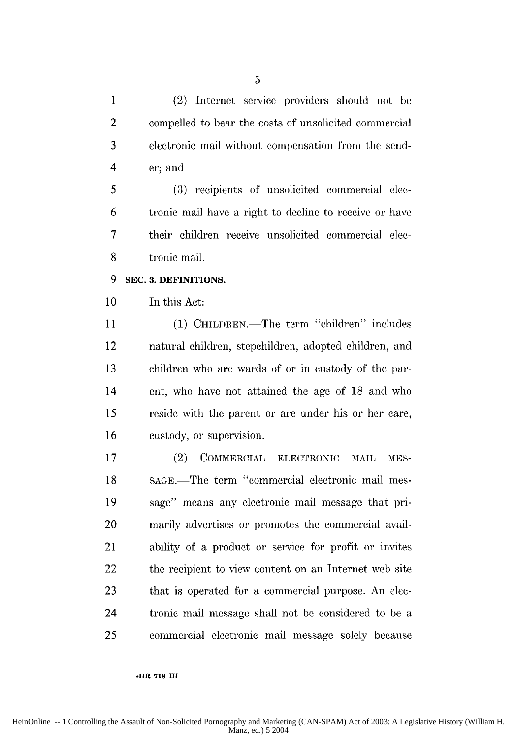1 (2) Internet service providers should not be 2 compelled to bear the costs of unsolicited commercial 3 electronic mail without compensation from the send-4 er; and

*5* (3) recipients of unsolicited commercial elec-6 tronic mail have a right to decline to receive or have 7 their children receive unsolicited commercial elec-**8** tronic mail.

#### **9 SEC. 3. DEFINITIONS.**

10 In this Act:

11 (1) CHILDREN.—The term "children" includes 12 natural children, stepchildren, adopted children, and 13 children who are wards of or in custody of the par-14 ent, who have not attained the age of 18 and who 15 reside with the parent or are under his or her care, 16 custody, or supervision.

17 (2) COMMERCIAL ELECTRONIC MAIL MES-18 SAGE.-The term "commercial electronic mail mes-19 sage" means any electronic mail message that pri-20 marily advertises or promotes the commercial avail-21 ability of a product or service for profit or invites 22 the recipient to view content on an Internet web site 23 that is operated for a commercial purpose. An **clee-**24 tronic mail message shall not be considered to be a 25 commercial electronic mail message solely because

#### **• HR 718 IH**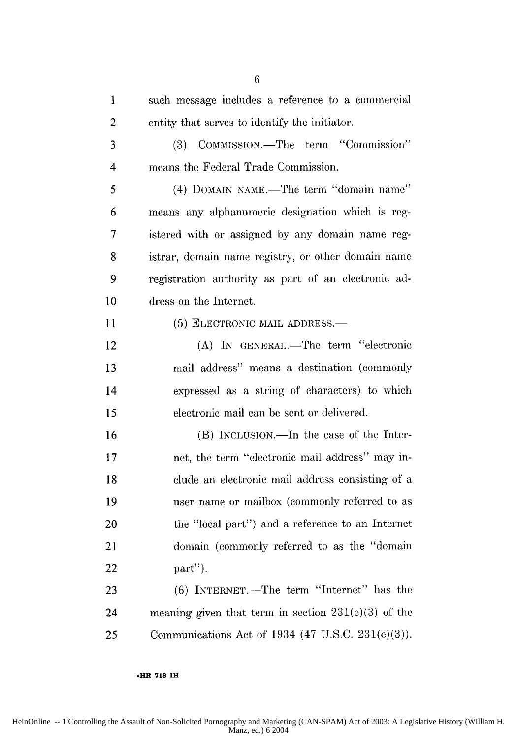**1** such message includes a reference to a commercial 2 entity that serves to identify the initiator.

3 (3) COMMISSION.-The term "Commission" 4 means the Federal Trade Commission.

5 (4) DOMAIN NAME.—The term "domain name" 6 means any alphanumeric designation which is reg-7 istered with or assigned by any domain name reg-8 istrar, domain name registry, or other domain name 9 registration authority as part of an electronic ad-10 dress on the Internet.

11 (5) ELECTRONIC MAIL ADDRESS.

12 (A) IN GENERAL.—The term "electronic 13 mail address" means a destination (commonly 14 expressed as a string of characters) to which 15 electronic mail can be sent or delivered.

16 (B) INCLUSION.—In the case of the Inter-17 net, the term "electronic mail address" may in-18 elude an electronic mail address consisting of a 19 user name or mailbox (commonly referred to as 20 the "local part") and a reference to an Internet 21 domain (commonly referred to as the "domain 22 part").

23 (6) INTERNET.—The term "Internet" has the 24 meaning given that term in section 231(e)(3) of the 25 Communications Act of 1934 (47 U.S.C. 231(e)(3)).

#### **.HR 718 EI**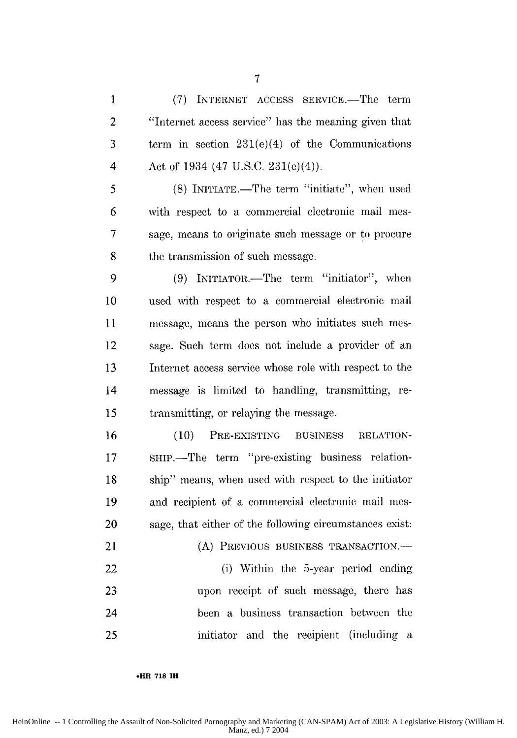1 (7) INTERNET ACCESS SERVICE.—The term 2 "Internet access service" has the meaning given that 3 term in section 231(e)(4) of the Communications 4 Act of 1934 (47 U.S.C. 231(e)(4)).

5 (8) INITIATE.—The term "initiate", when used 6 with respect to a commercial electronic mail mes-7 sage, means to originate such message or to procure 8 the transmission of such message.

9 (9) INITIATOR.—The term "initiator", when 10 used with respect to a commercial electronic mail 11 message, means the person who initiates such mes-12 sage. Such term does not include a provider of an 13 Internet access service whose role with respect to the 14 message is limited to handling, transmitting, re-15 transmitting, or relaying the message.

16 (10) PRE-EXISTING BUSINESS RELATION-17 SHIP.—The term "pre-existing business relation-18 ship" means, when used with respect to the initiator 19 and recipient of a commercial electronic mail mes-20 sage, that either of the following circumstances exist: 21 (A) PREVIOUS BUSINESS TRANSACTION. 22 (i) Within the 5-year period ending 23 upon receipt of such message, there has

24 been a business transaction between the 25 initiator and the recipient (including a

**-HR 718 IH**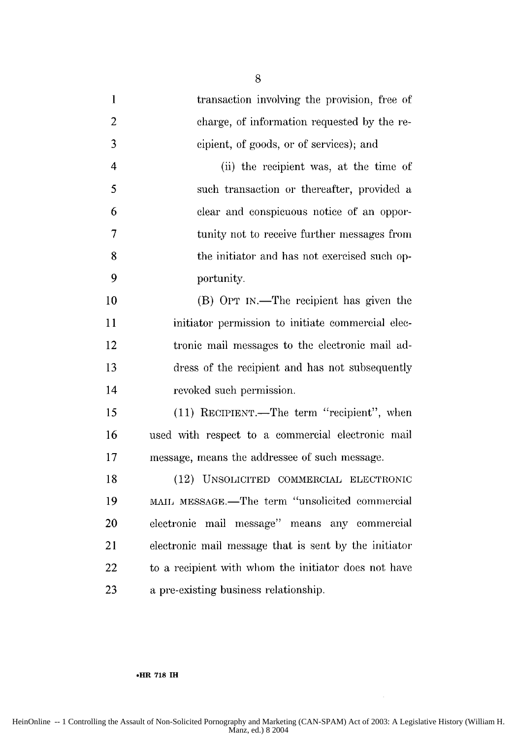1 transaction involving the provision, free of 2 charge, of information requested by the re-3 cipient, of goods, or of services); and 4 (ii) the recipient was, at the time of 5 such transaction or thereafter, provided a 6 clear and conspicuous notice of an oppor-7 tunity not to receive further messages from 8 the initiator and has not exercised such op-9 portunity. 10 (B) OPT IN.—The recipient has given the 11 initiator permission to initiate commercial elec-12 tronic mail messages to the electronic mail ad-13 dress of the recipient and has not subsequently 14 revoked such permission. *15* (11) RECIPIENT.-The term "recipient", when 16 used with respect to a commercial electronic mail 17 message, means the addressee of such message. 18 (12) UNSOLICITED COMMERCIAL ELECTRONIC

19 MAIL MESSAGE.-The term "unsolicited commercial 20 electronic mail message" means any commercial 21 electronic nmail message that is sent by the initiator 22 to a recipient with whom the initiator does not have 23 a pre-existing business relationship.

#### **.HR 718 IH**

**8**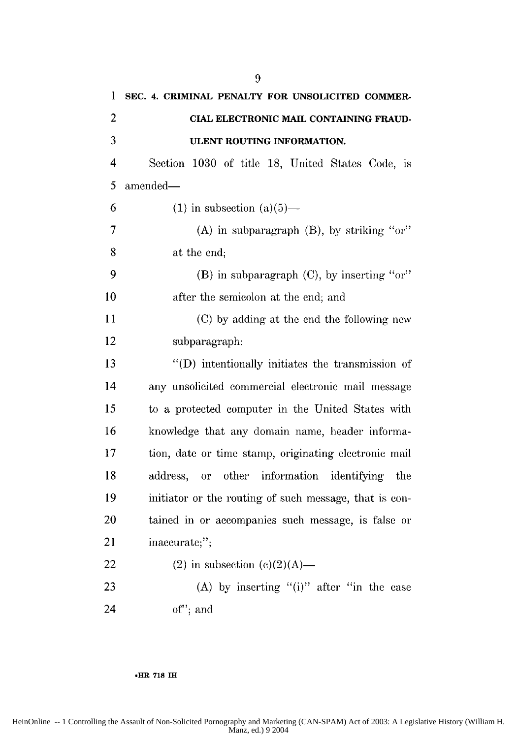| 1                       | SEC. 4. CRIMINAL PENALTY FOR UNSOLICITED COMMER-       |
|-------------------------|--------------------------------------------------------|
| $\overline{2}$          | CIAL ELECTRONIC MAIL CONTAINING FRAUD-                 |
| 3                       | ULENT ROUTING INFORMATION.                             |
| $\overline{\mathbf{4}}$ | Section 1030 of title 18, United States Code, is       |
| 5                       | amended—                                               |
| 6                       | $(1)$ in subsection $(a)(5)$ —                         |
| $\overline{7}$          | (A) in subparagraph $(B)$ , by striking "or"           |
| 8                       | at the end;                                            |
| 9                       | $(B)$ in subparagraph $(C)$ , by inserting "or"        |
| 10                      | after the semicolon at the end; and                    |
| 11                      | (C) by adding at the end the following new             |
| 12                      | subparagraph:                                          |
| 13                      | "(D) intentionally initiates the transmission of       |
| 14                      | any unsolicited commercial electronic mail message     |
| 15                      | to a protected computer in the United States with      |
| 16                      | knowledge that any domain name, header informa-        |
| 17                      | tion, date or time stamp, originating electronic mail  |
| 18                      | address, or other information identifying<br>the       |
| 19                      | initiator or the routing of such message, that is con- |
| 20                      | tained in or accompanies such message, is false or     |
| 21                      | inaccurate;";                                          |
| 22                      | (2) in subsection (e)(2)(A)—                           |
| 23                      | (A) by inserting "(i)" after "in the case              |
| 24                      | of"; and                                               |

#### **.HR 718 IH**

**9**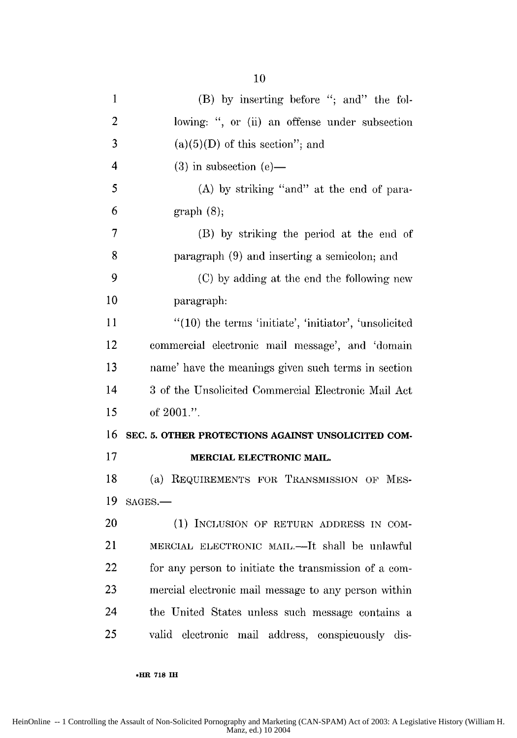| 1                       | (B) by inserting before "; and" the fol-              |
|-------------------------|-------------------------------------------------------|
| $\overline{2}$          | lowing: ", or (ii) an offense under subsection        |
| 3                       | $(a)(5)(D)$ of this section"; and                     |
| $\overline{\mathbf{4}}$ | $(3)$ in subsection $(e)$ —                           |
| 5                       | (A) by striking "and" at the end of para-             |
| 6                       | graph(8);                                             |
| 7                       | (B) by striking the period at the end of              |
| 8                       | paragraph (9) and inserting a semicolon; and          |
| 9                       | (C) by adding at the end the following new            |
| 10                      | paragraph:                                            |
| 11                      | "(10) the terms 'initiate', 'initiator', 'unsolicited |
| 12                      | commercial electronic mail message', and 'domain      |
| 13                      | name' have the meanings given such terms in section   |
| 14                      | 3 of the Unsolicited Commercial Electronic Mail Act   |
| 15                      | of 2001.".                                            |
| 16                      | SEC. 5. OTHER PROTECTIONS AGAINST UNSOLICITED COM-    |
| 17                      | MERCIAL ELECTRONIC MAIL.                              |
| 18                      | (a) REQUIREMENTS FOR TRANSMISSION OF MES-             |
| 19                      | SAGES.-                                               |
| 20                      | (1) INCLUSION OF RETURN ADDRESS IN COM-               |
| 21                      | MERCIAL ELECTRONIC MAIL.-It shall be unlawful         |
| 22                      | for any person to initiate the transmission of a com- |
| 23                      | mercial electronic mail message to any person within  |
| 24                      | the United States unless such message contains a      |
| 25                      | valid electronic mail address, conspicuously dis-     |

**HR 718 IH**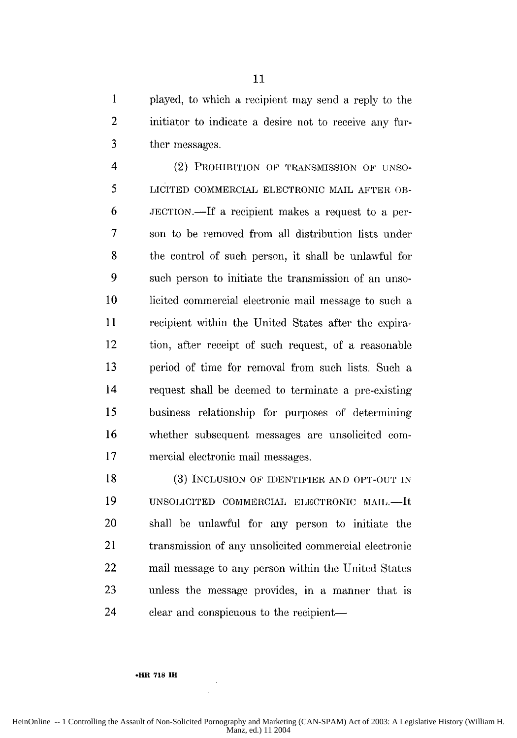1 played, to which a recipient may send a reply to the 2 initiator to indicate a desire not to receive any fur-3 ther messages.

4 (2) PROHIBITION OF TRANSMISSION OF UNSO-5 LICITED COMMERCIAL ELECTRONIC MAIL AFTER OB-6 JECTION.-If a recipient makes a request to a per-7 son to be removed from all distribution lists under 8 the control of such person, it shall be unlawful for 9 such person to initiate the transmission of an unso-10 licited commercial electronic mail message to such a. 11 recipient within the United States after the expira-12 tion, after receipt of such request, of a reasonable 13 period of time for removal from such lists. Such a 14 request shall be deemed to terminate a pre-existing 15 business relationship for purposes of determining 16 whether subsequent messages are unsolicited com-17 mercial electronic mail messages.

18 (3) INCLUSION OF IDENTIFIER AND OPT-OUT IN 19 UNSOLICITED COMMERCIAL ELECTRONIC MAIL.-It 20 shall be unlawful for any person to initiate the 21 transmission of any unsolicited commercial electronic 22 mail message to any person within the United States 23 unless the message provides, in a manner that is 24 clear and conspicuous to the recipient—

#### **oHR 718 IH**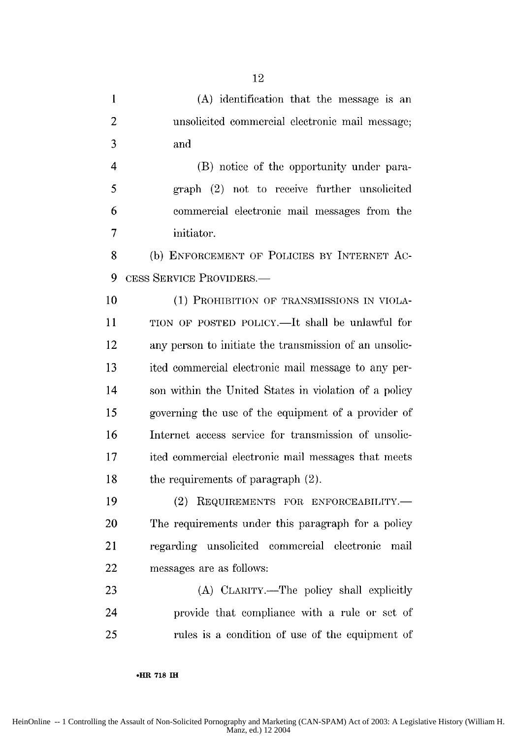**1** (A) identification that the message is an 2 unsolicited commercial electronic mail message; 3 and

4 (B) notice of the opportunity under para-5 graph (2) not to receive further unsolicited 6 commercial electronic mail messages from the **7** initiator.

8 (b) ENFORCEMENT OF POLICIES BY INTERNET Ac-9 CESS SERVICE PROVIDERS.-

10 (1) PROHIBITION OF TRANSMISSIONS IN VIOLA-11 TION OF POSTED POLICY.—It shall be unlawful for 12 any person to initiate the transmission of an unsolic-13 ited commercial electronic mail message to any per-14 son within the United States in violation of a policy 15 governing the use of the equipment of a provider of 16 Internet access service for transmission of unsolie-17 ited commercial electronic mail messages that meets 18 the requirements of paragraph (2).

19 (2) REQUIREMENTS FOR ENFORCEABILITY. 20 The requirements under this paragraph for a policy 21 regarding unsolicited commercial electronic mail 22 messages are as follows:

23 (A) CLARITY.—The policy shall explicitly 24 provide that compliance with a rule or set of 25 rules is a condition of use of the equipment of

#### **\*HR 718 IH**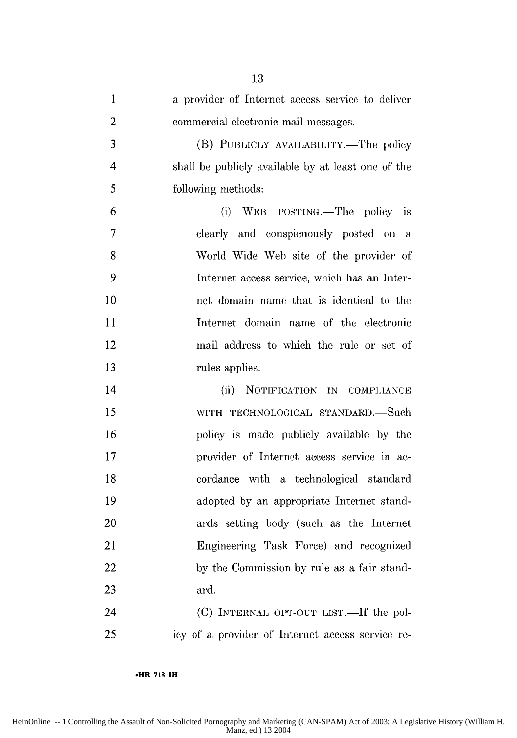| $\mathbf{1}$            | a provider of Internet access service to deliver   |
|-------------------------|----------------------------------------------------|
| $\overline{2}$          | commercial electronic mail messages.               |
| 3                       | (B) PUBLICLY AVAILABILITY.—The policy              |
| $\overline{\mathbf{4}}$ | shall be publicly available by at least one of the |
| 5                       | following methods:                                 |
| 6                       | (i) WEB POSTING.—The policy is                     |
| 7                       | clearly and conspicuously posted on<br>a           |
| 8                       | World Wide Web site of the provider of             |
| 9                       | Internet access service, which has an Inter-       |
| 10                      | net domain name that is identical to the           |
| 11                      | Internet domain name of the electronic             |
| 12                      | mail address to which the rule or set of           |
| 13                      | rules applies.                                     |
| 14                      | (ii) NOTIFICATION IN COMPLIANCE                    |
| 15                      | WITH TECHNOLOGICAL STANDARD.—Such                  |
| 16                      | policy is made publicly available by the           |
| 17                      | provider of Internet access service in ac-         |
| 18                      | cordance with a technological standard             |
| 19                      | adopted by an appropriate Internet stand-          |
| 20                      | ards setting body (such as the Internet            |
| 21                      | Engineering Task Force) and recognized             |
| 22                      | by the Commission by rule as a fair stand-         |
| 23                      | ard.                                               |
| 24                      | (C) INTERNAL OPT-OUT LIST.—If the pol-             |
| 25                      | icy of a provider of Internet access service re-   |

**.HR 718 IH**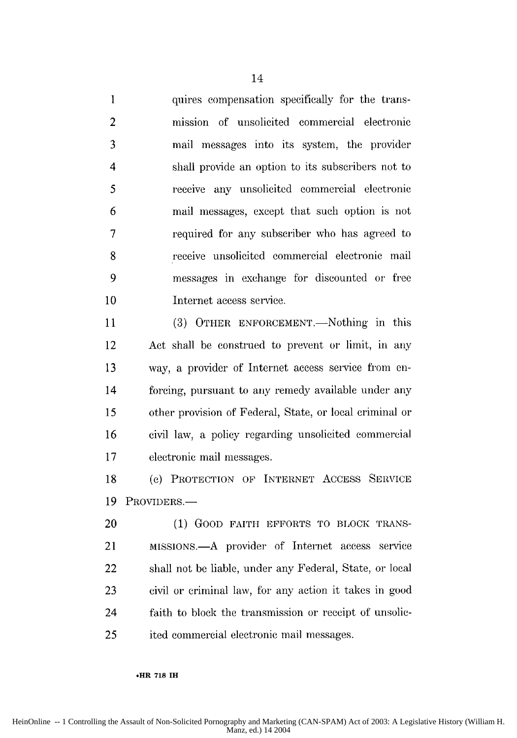1 **1 quires compensation specifically for the trans-**2 mission of unsolicited commercial electronic 3 mail messages into its system, the provider 4 shall provide an option to its subscribers not to *5* receive any unsolicited commercial electronic 6 mail messages, except that such option is not 7 required for any subscriber who has agreed to 8 receive unsolicited commercial electronic mail 9 messages in exchange for discounted or free 10 Internet access service.

11 (3) OTHER ENFORCEMENT.—Nothing in this 12 Act shall be construed to prevent or limit, in any 13 way, a provider of Internet access service trom en-14 forcing, pursuant to any remedy available under any 15 other provision of Federal, State, or local criminal or 16 civil law, a policy regarding unsolicited commercial 17 electronic mail messages.

18 (c) PROTECTION OF INTERNET ACCESS **SERVICE** 19 PROVIDERS.-

20 (1) GOOD FAITH EFFORTS TO BLOCK TRANS-21 MISSIONS.-A provider of Internet access service 22 shall not be liable, under any Federal, State, or local 23 civil or criminal law, for any action it takes in good 24 faith to block the transmission or receipt of unsolic-25 ited commercial electronic mail messages.

HeinOnline -- 1 Controlling the Assault of Non-Solicited Pornography and Marketing (CAN-SPAM) Act of 2003: A Legislative History (William H. Manz, ed.) 14 2004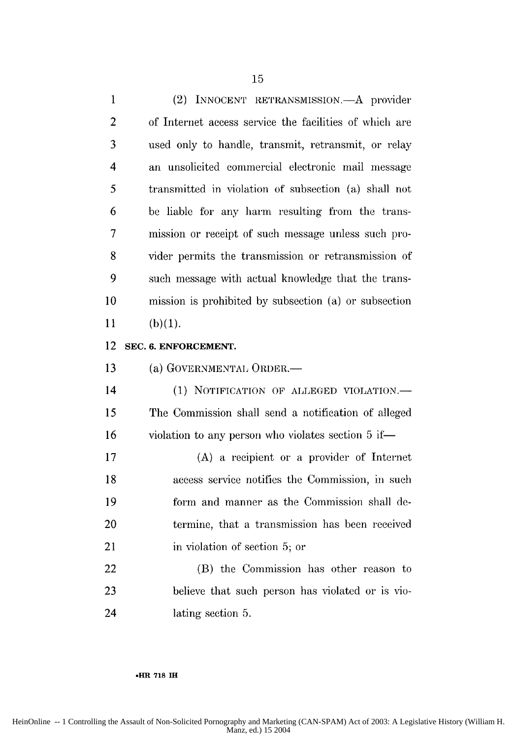1 (2) INNOCENT RETRANSMISSION.-A provider 2 of Internet access service the facilities of which are 3 used only to handle, transmit, retransmit, or relay 4 an unsolicited commercial electronic mail message 5 transmitted in violation of subsection (a) shall not 6 **be** liable for any harm resulting from the trans-7 mission or receipt of such message unless such pro-8 vider permits the transmission or retransmission of 9 such message with actual knowledge that the trans-**10** mission is prohibited by subsection (a) or subsection **11 (b)(1).**

#### 12 **SEC. 6. ENFORCEMENT.**

13 (a) GOVERNMENTAL ORDER.—

14 (1) NOTIFICATION OF ALLEGED VIOLATION. 15 The Commission shall send a notification of alleged 16 violation to any person who violates section 5 if—

17 (A) a recipient or a provider of Internet 18 access service notifies the Commission, in such 19 form and manner as the Commission shall de-20 termine, that a transmission has been received 21 in violation of section 5; or

22 (B) the Commission has other reason to 23 believe that such person has violated or is vio-24 lating section 5.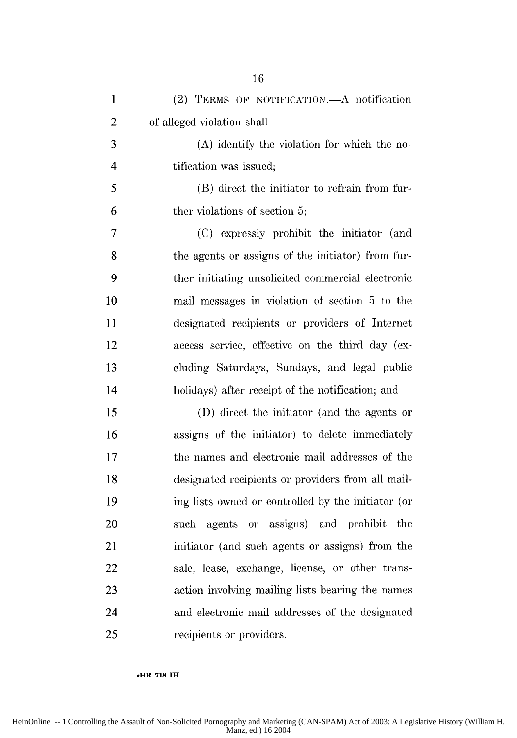| $\mathbf{1}$   | (2) TERMS OF NOTIFICATION. A notification          |
|----------------|----------------------------------------------------|
| $\overline{2}$ | of alleged violation shall—                        |
| 3              | (A) identify the violation for which the no-       |
| 4              | tification was issued;                             |
| 5              | (B) direct the initiator to refrain from fur-      |
| 6              | ther violations of section 5;                      |
| 7              | (C) expressly prohibit the initiator (and          |
| 8              | the agents or assigns of the initiator) from fur-  |
| 9              | ther initiating unsolicited commercial electronic  |
| 10             | mail messages in violation of section 5 to the     |
| 11             | designated recipients or providers of Internet     |
| 12             | access service, effective on the third day (ex-    |
| 13             | cluding Saturdays, Sundays, and legal public       |
| 14             | holidays) after receipt of the notification; and   |
| 15             | (D) direct the initiator (and the agents or        |
| 16             | assigns of the initiator) to delete immediately    |
| 17             | the names and electronic mail addresses of the     |
| 18             | designated recipients or providers from all mail-  |
| 19             | ing lists owned or controlled by the initiator (or |
| 20             | such agents or assigns) and prohibit the           |
| 21             | initiator (and such agents or assigns) from the    |
| 22             | sale, lease, exchange, license, or other trans-    |
| 23             | action involving mailing lists bearing the names   |
| 24             | and electronic mail addresses of the designated    |
| 25             | recipients or providers.                           |

**lHR 718 1-1**

HeinOnline -- 1 Controlling the Assault of Non-Solicited Pornography and Marketing (CAN-SPAM) Act of 2003: A Legislative History (William H. Manz, ed.) 16 2004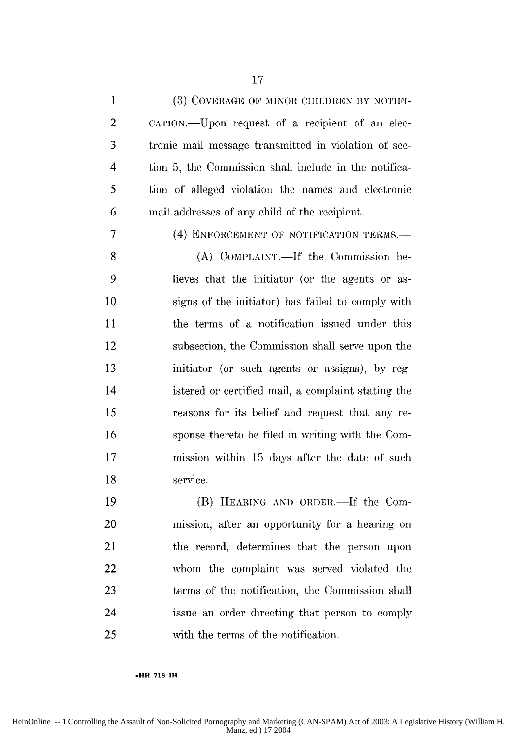**1** (3) COVERAGE OF MINOR CHILDREN BY NOTIFI-2 CATION.—Upon request of a recipient of an elec-3 tronic mail message transmitted in violation of see-4 tion 5, the Commission shall include in the notifica-5 tion of alleged violation the names and electronic 6 mail addresses of any child of the recipient. 7 (4) ENFORCEMENT OF NOTIFICATION TERMS. 8 (A) COMPLAINT.—If the Commission be-9 lieves that the initiator (or the agents or as-10 signs of the initiator) has failed to comply with 11 the terms of a notification issued under this 12 subsection, the Commission shall serve upon the 13 initiator (or such agents or assigns), by reg-14 istered or certified mail, a complaint stating the 15 reasons for its belief and request that any re-16 sponse thereto be filed in writing with the Com-17 mission within 15 days after the date of such 18 service. 19 (B) HEARING AND ORDER.—If the Com-

20 mission, after an opportunity for a hearing on 21 the record, determines that the person upon 22 whom the complaint was served violated the 23 terms of the notification, the Commission shall 24 issue an order directing that person to comply 25 with the terms of the notification.

**.1111 718 I**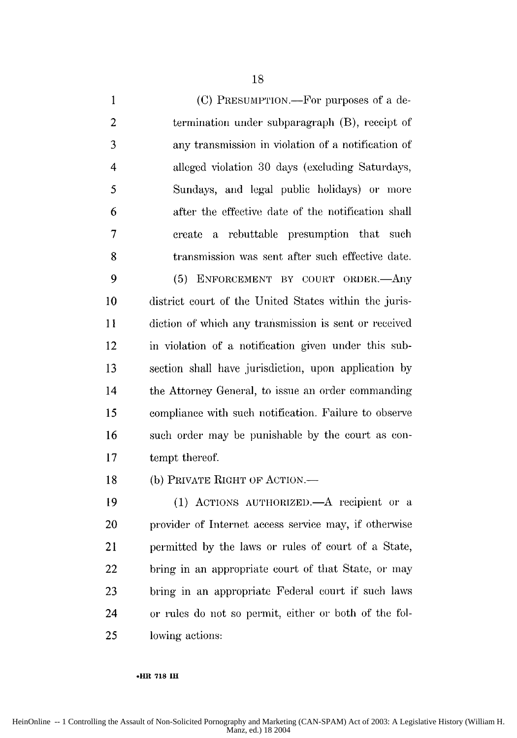1 (C) PRESUMPTION.—For purposes of a de-2 termination under subparagraph (B), receipt of 3 any transmission in violation of a notification of 4 alleged violation **30** days (excluding Saturdays, *5* Sundays, and legal public holidays) or more 6 after the effective date of the notification shall 7 create a rebuttable presumption that such 8 transmission was sent after such effective date. 9 (5) ENFORCEMENT BY COURT ORDER. Any **10** district court of the United States within the juris-11 diction of which any transmission is sent or received 12 in violation of a notification given under this sub-13 section shall have jurisdiction, upon application by 14 the Attorney General, to issue an order commanding 15 compliance with such notification. Failure to observe

16 such order may be punishable by the court as con-17 tempt thereof.

18 (b) PRIVATE RIGHT OF ACTION.—

19 (1) ACTIONS AUTHORIZED. A recipient or a 20 provider of Internet access service may, if otherwise 21 permitted by the laws or rules of court of a State, 22 bring in an appropriate court of that State, or may 23 bring in an appropriate Federal court if such laws 24 or rules do not so permit, either or both of the fol-**25** lowing actions:

#### **.HR 718 IH**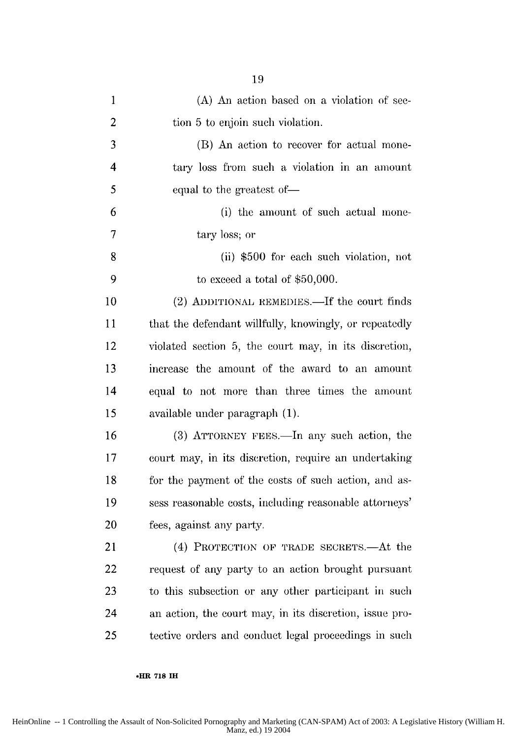| $\mathbf{1}$            | (A) An action based on a violation of sec-              |
|-------------------------|---------------------------------------------------------|
| 2                       | tion 5 to enjoin such violation.                        |
| 3                       | (B) An action to recover for actual mone-               |
| $\overline{\mathbf{4}}$ | tary loss from such a violation in an amount            |
| 5                       | equal to the greatest of-                               |
| 6                       | (i) the amount of such actual mone-                     |
| 7                       | tary loss; or                                           |
| 8                       | (ii) \$500 for each such violation, not                 |
| 9                       | to exceed a total of $$50,000$ .                        |
| 10                      | (2) ADDITIONAL REMEDIES.—If the court finds             |
| 11                      | that the defendant willfully, knowingly, or repeatedly  |
| 12                      | violated section 5, the court may, in its discretion,   |
| 13                      | increase the amount of the award to an amount           |
| 14                      | equal to not more than three times the amount           |
| 15                      | available under paragraph (1).                          |
| 16                      | (3) ATTORNEY FEES.—In any such action, the              |
| 17                      | court may, in its discretion, require an undertaking    |
| 18                      | for the payment of the costs of such action, and as-    |
| 19                      | sess reasonable costs, including reasonable attorneys'  |
| 20                      | fees, against any party.                                |
| 21                      | (4) PROTECTION OF TRADE SECRETS.—At the                 |
| 22                      | request of any party to an action brought pursuant      |
| 23                      | to this subsection or any other participant in such     |
| 24                      | an action, the court may, in its discretion, issue pro- |
| 25                      | tective orders and conduct legal proceedings in such    |

#### **.HR 718 IH**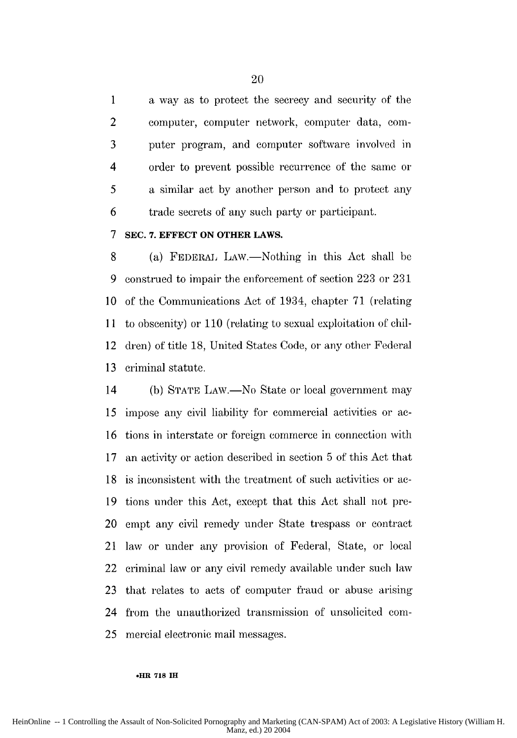1 a way as to protect the secrecy and security of the 2 computer, computer network, computer data, com-3 puter program, and computer software involved in 4 order to prevent possible recurrence of the same or 5 a similar act by another person and to protect any 6 trade secrets of any such party or participant.

#### **7 SEC. 7. EFFECT ON OTHER LAWS.**

8 (a) FEDERAL LAW.—Nothing in this Act shall be 9 construed to impair the enforcement of section 223 or 231 **10** of the Communications Act of 1934, chapter 71 (relating 11 to obscenity) or 110 (relating to sexual exploitation of chil-12 dren) of title 18, United States Code, or any other Federal 13 criminal statute.

14 (b) STATE LAW.—No State or local government may 15 impose any civil liability for commercial activities or ac-16 tions in interstate or foreign commerce in connection with **17** an activity or action described in section 5 of this Act that 18 is inconsistent with the treatment of such activities or ac-19 tions under this Act, except that this Act shall not pre-20 empt any civil remedy under State trespass or contract 21 law or under any provision of Federal, State, or local 22 criminal law or any civil remedy available under such law 23 that relates to acts of computer fraud or abuse arising 24 from the unauthorized transmission of unsolicited com-25 mercial electronic mail messages.

#### **.HR 718 lH**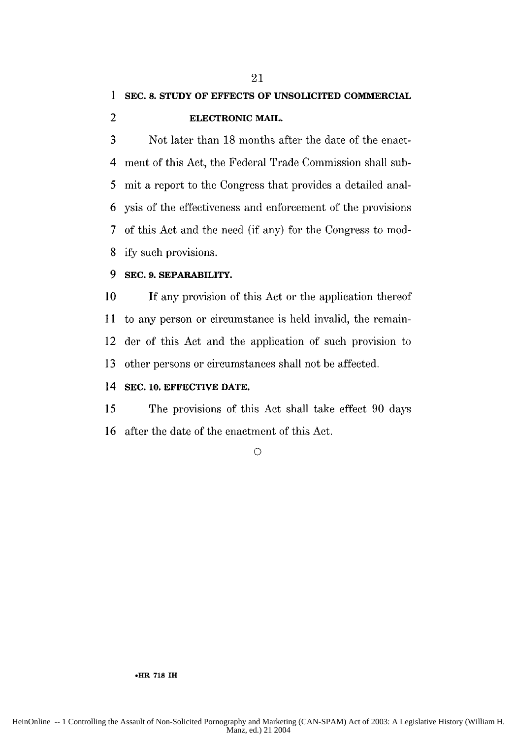### **1 SEC. 8. STUDY OF EFFECTS OF UNSOLICITED COMMERCIAL** 2 **ELECTRONIC MAIL.**

21

3 Not later than 18 months after the date of the enact-4 ment of this Act, the Federal Trade Commission shall sub-5 mit a report to the Congress that provides a detailed anal-6 ysis of the effectiveness and enforcement of the provisions 7 of this Act and the need (if any) for the Congress to mod-8 ify such provisions.

#### **9 SEC. 9. SEPARABILITY.**

**10 If** any provision of this Act or the application thereof 1 1 to any person or circumstance is held invalid, the remain-12 der of this Act and the application of such provision to 13 other persons or circumstances shall not be affected.

#### 14 **SEC. 10. EFFECTIVE DATE.**

15 The provisions of this Act shall take effect 90 days 16 after the date of the enactment of this Act.

**0**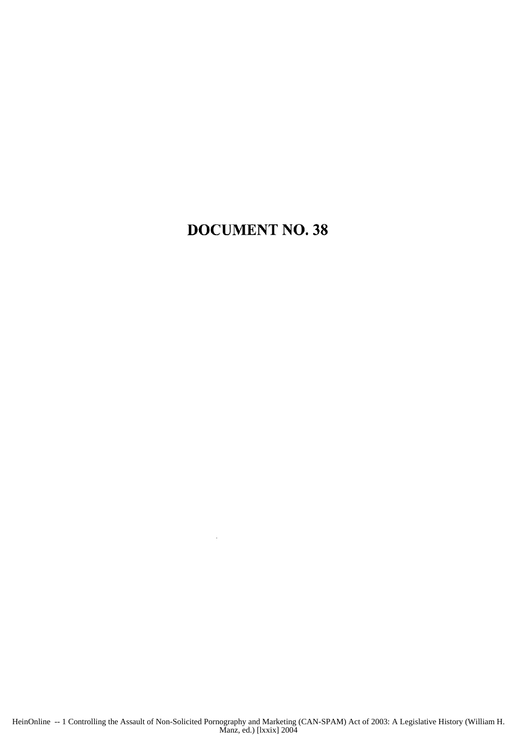### DOCUMENT NO. 38

HeinOnline -- 1 Controlling the Assault of Non-Solicited Pornography and Marketing (CAN-SPAM) Act of 2003: A Legislative History (William H. Manz, ed.) [lxxix] 2004